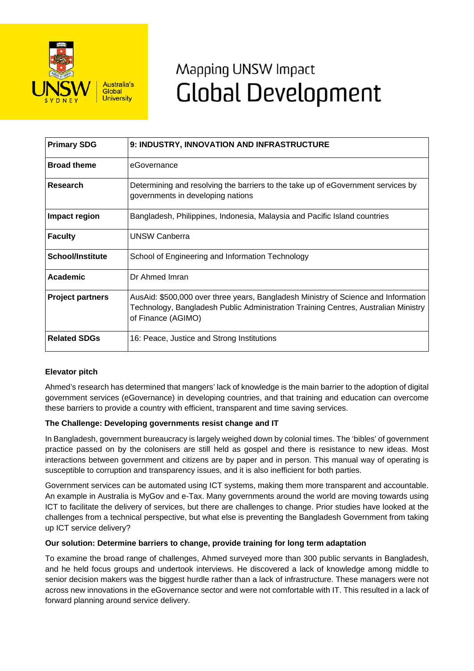

# Mapping UNSW Impact **Global Development**

| <b>Primary SDG</b>      | 9: INDUSTRY, INNOVATION AND INFRASTRUCTURE                                                                                                                                                     |
|-------------------------|------------------------------------------------------------------------------------------------------------------------------------------------------------------------------------------------|
| <b>Broad theme</b>      | eGovernance                                                                                                                                                                                    |
| Research                | Determining and resolving the barriers to the take up of eGovernment services by<br>governments in developing nations                                                                          |
| Impact region           | Bangladesh, Philippines, Indonesia, Malaysia and Pacific Island countries                                                                                                                      |
| <b>Faculty</b>          | <b>UNSW Canberra</b>                                                                                                                                                                           |
| <b>School/Institute</b> | School of Engineering and Information Technology                                                                                                                                               |
| Academic                | Dr Ahmed Imran                                                                                                                                                                                 |
| <b>Project partners</b> | AusAid: \$500,000 over three years, Bangladesh Ministry of Science and Information<br>Technology, Bangladesh Public Administration Training Centres, Australian Ministry<br>of Finance (AGIMO) |
| <b>Related SDGs</b>     | 16: Peace, Justice and Strong Institutions                                                                                                                                                     |

## **Elevator pitch**

Ahmed's research has determined that mangers' lack of knowledge is the main barrier to the adoption of digital government services (eGovernance) in developing countries, and that training and education can overcome these barriers to provide a country with efficient, transparent and time saving services.

## **The Challenge: Developing governments resist change and IT**

In Bangladesh, government bureaucracy is largely weighed down by colonial times. The 'bibles' of government practice passed on by the colonisers are still held as gospel and there is resistance to new ideas. Most interactions between government and citizens are by paper and in person. This manual way of operating is susceptible to corruption and transparency issues, and it is also inefficient for both parties.

Government services can be automated using ICT systems, making them more transparent and accountable. An example in Australia is MyGov and e-Tax. Many governments around the world are moving towards using ICT to facilitate the delivery of services, but there are challenges to change. Prior studies have looked at the challenges from a technical perspective, but what else is preventing the Bangladesh Government from taking up ICT service delivery?

### **Our solution: Determine barriers to change, provide training for long term adaptation**

To examine the broad range of challenges, Ahmed surveyed more than 300 public servants in Bangladesh, and he held focus groups and undertook interviews. He discovered a lack of knowledge among middle to senior decision makers was the biggest hurdle rather than a lack of infrastructure. These managers were not across new innovations in the eGovernance sector and were not comfortable with IT. This resulted in a lack of forward planning around service delivery.